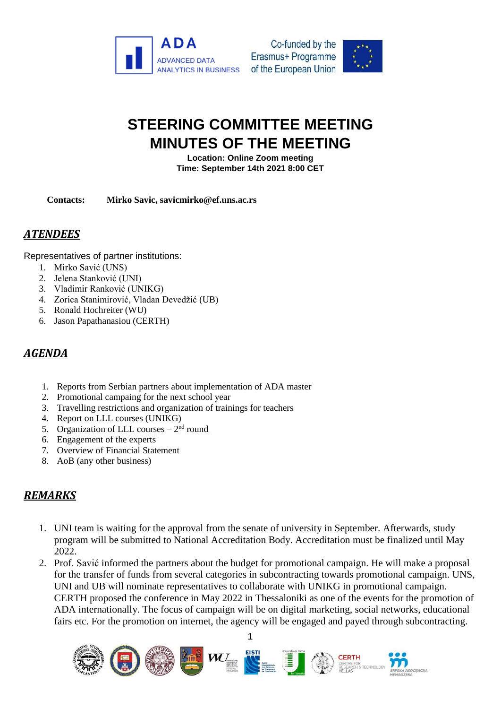



## **STEERING COMMITTEE MEETING MINUTES OF THE MEETING**

**Location: Online Zoom meeting Time: September 14th 2021 8:00 CET**

**Contacts: Mirko Savic, savicmirko@ef.uns.ac.rs**

## *ATENDEES*

Representatives of partner institutions:

- 1. Mirko Savić (UNS)
- 2. Jelena Stanković (UNI)
- 3. Vladimir Ranković (UNIKG)
- 4. Zorica Stanimirović, Vladan Devedžić (UB)
- 5. Ronald Hochreiter (WU)
- 6. Jason Papathanasiou (CERTH)

## *AGENDA*

- 1. Reports from Serbian partners about implementation of ADA master
- 2. Promotional campaing for the next school year
- 3. Travelling restrictions and organization of trainings for teachers
- 4. Report on LLL courses (UNIKG)
- 5. Organization of LLL courses  $-2<sup>nd</sup>$  round
- 6. Engagement of the experts
- 7. Overview of Financial Statement
- 8. AoB (any other business)

## *REMARKS*

- 1. UNI team is waiting for the approval from the senate of university in September. Afterwards, study program will be submitted to National Accreditation Body. Accreditation must be finalized until May 2022.
- 2. Prof. Savić informed the partners about the budget for promotional campaign. He will make a proposal for the transfer of funds from several categories in subcontracting towards promotional campaign. UNS, UNI and UB will nominate representatives to collaborate with UNIKG in promotional campaign. CERTH proposed the conference in May 2022 in Thessaloniki as one of the events for the promotion of ADA internationally. The focus of campaign will be on digital marketing, social networks, educational fairs etc. For the promotion on internet, the agency will be engaged and payed through subcontracting.